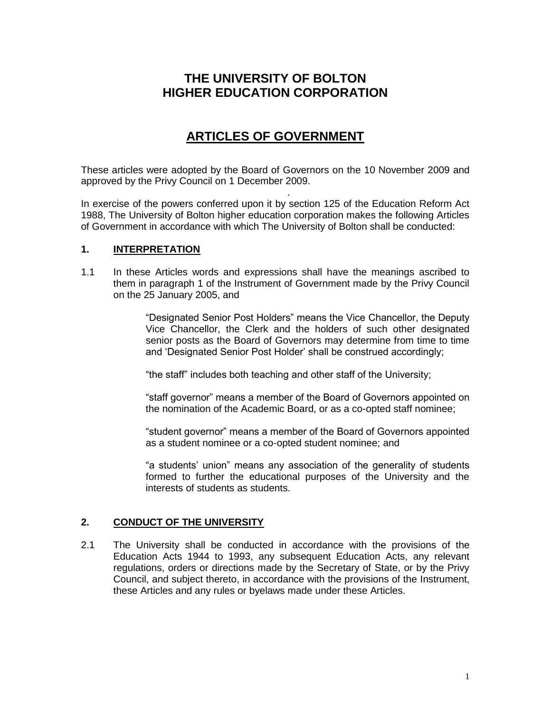# **THE UNIVERSITY OF BOLTON HIGHER EDUCATION CORPORATION**

# **ARTICLES OF GOVERNMENT**

These articles were adopted by the Board of Governors on the 10 November 2009 and approved by the Privy Council on 1 December 2009.

In exercise of the powers conferred upon it by section 125 of the Education Reform Act 1988, The University of Bolton higher education corporation makes the following Articles of Government in accordance with which The University of Bolton shall be conducted:

# **1. INTERPRETATION**

and the control of the control of the control of the control of the control of

1.1 In these Articles words and expressions shall have the meanings ascribed to them in paragraph 1 of the Instrument of Government made by the Privy Council on the 25 January 2005, and

> "Designated Senior Post Holders" means the Vice Chancellor, the Deputy Vice Chancellor, the Clerk and the holders of such other designated senior posts as the Board of Governors may determine from time to time and 'Designated Senior Post Holder' shall be construed accordingly;

"the staff" includes both teaching and other staff of the University;

"staff governor" means a member of the Board of Governors appointed on the nomination of the Academic Board, or as a co-opted staff nominee;

"student governor" means a member of the Board of Governors appointed as a student nominee or a co-opted student nominee; and

"a students" union" means any association of the generality of students formed to further the educational purposes of the University and the interests of students as students.

## **2. CONDUCT OF THE UNIVERSITY**

2.1 The University shall be conducted in accordance with the provisions of the Education Acts 1944 to 1993, any subsequent Education Acts, any relevant regulations, orders or directions made by the Secretary of State, or by the Privy Council, and subject thereto, in accordance with the provisions of the Instrument, these Articles and any rules or byelaws made under these Articles.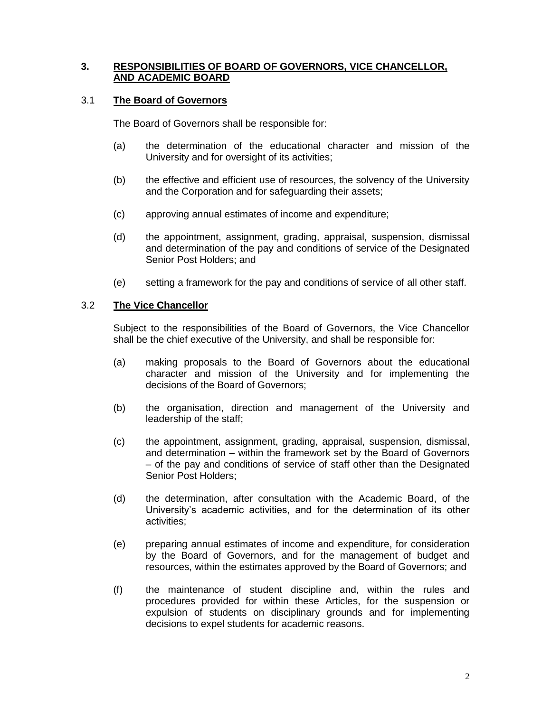#### **3. RESPONSIBILITIES OF BOARD OF GOVERNORS, VICE CHANCELLOR, AND ACADEMIC BOARD**

#### 3.1 **The Board of Governors**

The Board of Governors shall be responsible for:

- (a) the determination of the educational character and mission of the University and for oversight of its activities;
- (b) the effective and efficient use of resources, the solvency of the University and the Corporation and for safeguarding their assets;
- (c) approving annual estimates of income and expenditure;
- (d) the appointment, assignment, grading, appraisal, suspension, dismissal and determination of the pay and conditions of service of the Designated Senior Post Holders; and
- (e) setting a framework for the pay and conditions of service of all other staff.

#### 3.2 **The Vice Chancellor**

Subject to the responsibilities of the Board of Governors, the Vice Chancellor shall be the chief executive of the University, and shall be responsible for:

- (a) making proposals to the Board of Governors about the educational character and mission of the University and for implementing the decisions of the Board of Governors;
- (b) the organisation, direction and management of the University and leadership of the staff;
- (c) the appointment, assignment, grading, appraisal, suspension, dismissal, and determination – within the framework set by the Board of Governors – of the pay and conditions of service of staff other than the Designated Senior Post Holders;
- (d) the determination, after consultation with the Academic Board, of the University"s academic activities, and for the determination of its other activities;
- (e) preparing annual estimates of income and expenditure, for consideration by the Board of Governors, and for the management of budget and resources, within the estimates approved by the Board of Governors; and
- (f) the maintenance of student discipline and, within the rules and procedures provided for within these Articles, for the suspension or expulsion of students on disciplinary grounds and for implementing decisions to expel students for academic reasons.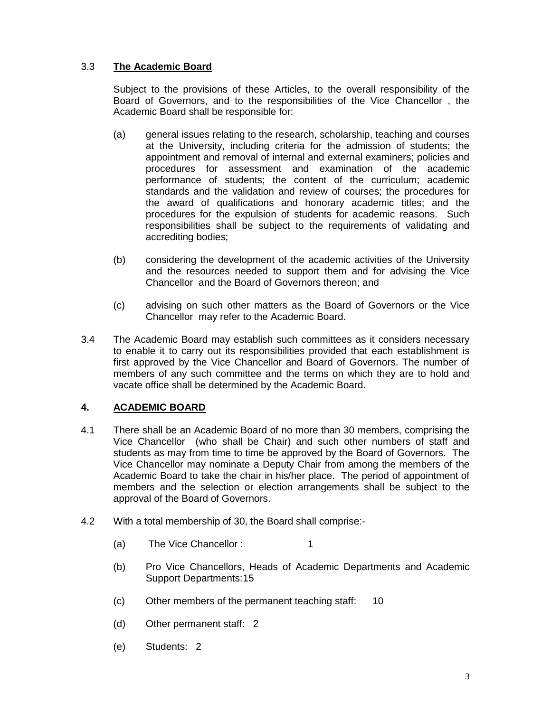# 3.3 **The Academic Board**

Subject to the provisions of these Articles, to the overall responsibility of the Board of Governors, and to the responsibilities of the Vice Chancellor , the Academic Board shall be responsible for:

- (a) general issues relating to the research, scholarship, teaching and courses at the University, including criteria for the admission of students; the appointment and removal of internal and external examiners; policies and procedures for assessment and examination of the academic performance of students; the content of the curriculum; academic standards and the validation and review of courses; the procedures for the award of qualifications and honorary academic titles; and the procedures for the expulsion of students for academic reasons. Such responsibilities shall be subject to the requirements of validating and accrediting bodies;
- (b) considering the development of the academic activities of the University and the resources needed to support them and for advising the Vice Chancellor and the Board of Governors thereon; and
- (c) advising on such other matters as the Board of Governors or the Vice Chancellor may refer to the Academic Board.
- 3.4 The Academic Board may establish such committees as it considers necessary to enable it to carry out its responsibilities provided that each establishment is first approved by the Vice Chancellor and Board of Governors. The number of members of any such committee and the terms on which they are to hold and vacate office shall be determined by the Academic Board.

# **4. ACADEMIC BOARD**

- 4.1 There shall be an Academic Board of no more than 30 members, comprising the Vice Chancellor (who shall be Chair) and such other numbers of staff and students as may from time to time be approved by the Board of Governors. The Vice Chancellor may nominate a Deputy Chair from among the members of the Academic Board to take the chair in his/her place. The period of appointment of members and the selection or election arrangements shall be subject to the approval of the Board of Governors.
- 4.2 With a total membership of 30, the Board shall comprise:-
	- (a) The Vice Chancellor : 1
	- (b) Pro Vice Chancellors, Heads of Academic Departments and Academic Support Departments:15
	- (c) Other members of the permanent teaching staff: 10
	- (d) Other permanent staff: 2
	- (e) Students: 2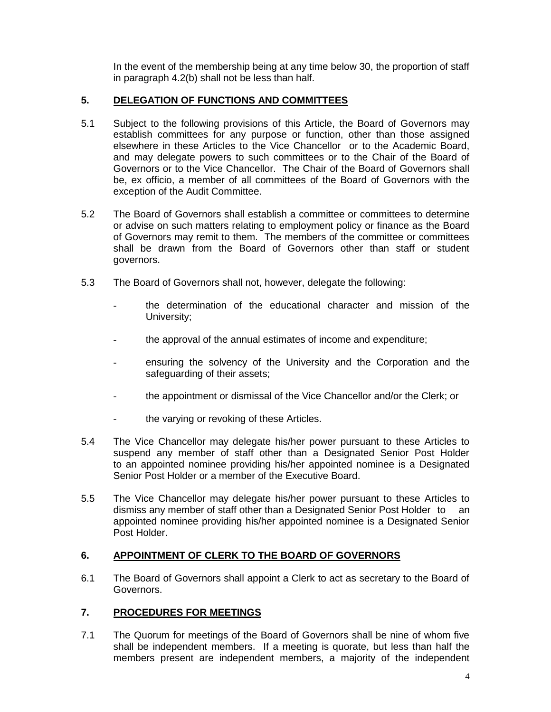In the event of the membership being at any time below 30, the proportion of staff in paragraph 4.2(b) shall not be less than half.

# **5. DELEGATION OF FUNCTIONS AND COMMITTEES**

- 5.1 Subject to the following provisions of this Article, the Board of Governors may establish committees for any purpose or function, other than those assigned elsewhere in these Articles to the Vice Chancellor or to the Academic Board, and may delegate powers to such committees or to the Chair of the Board of Governors or to the Vice Chancellor. The Chair of the Board of Governors shall be, ex officio, a member of all committees of the Board of Governors with the exception of the Audit Committee.
- 5.2 The Board of Governors shall establish a committee or committees to determine or advise on such matters relating to employment policy or finance as the Board of Governors may remit to them. The members of the committee or committees shall be drawn from the Board of Governors other than staff or student governors.
- 5.3 The Board of Governors shall not, however, delegate the following:
	- the determination of the educational character and mission of the University;
	- the approval of the annual estimates of income and expenditure;
	- ensuring the solvency of the University and the Corporation and the safeguarding of their assets;
	- the appointment or dismissal of the Vice Chancellor and/or the Clerk; or
	- the varying or revoking of these Articles.
- 5.4 The Vice Chancellor may delegate his/her power pursuant to these Articles to suspend any member of staff other than a Designated Senior Post Holder to an appointed nominee providing his/her appointed nominee is a Designated Senior Post Holder or a member of the Executive Board.
- 5.5 The Vice Chancellor may delegate his/her power pursuant to these Articles to dismiss any member of staff other than a Designated Senior Post Holder to an appointed nominee providing his/her appointed nominee is a Designated Senior Post Holder.

## **6. APPOINTMENT OF CLERK TO THE BOARD OF GOVERNORS**

6.1 The Board of Governors shall appoint a Clerk to act as secretary to the Board of Governors.

# **7. PROCEDURES FOR MEETINGS**

7.1 The Quorum for meetings of the Board of Governors shall be nine of whom five shall be independent members. If a meeting is quorate, but less than half the members present are independent members, a majority of the independent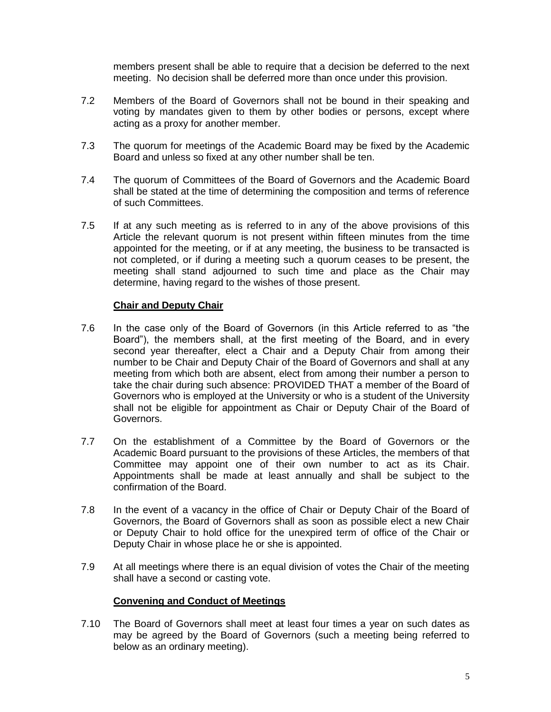members present shall be able to require that a decision be deferred to the next meeting. No decision shall be deferred more than once under this provision.

- 7.2 Members of the Board of Governors shall not be bound in their speaking and voting by mandates given to them by other bodies or persons, except where acting as a proxy for another member.
- 7.3 The quorum for meetings of the Academic Board may be fixed by the Academic Board and unless so fixed at any other number shall be ten.
- 7.4 The quorum of Committees of the Board of Governors and the Academic Board shall be stated at the time of determining the composition and terms of reference of such Committees.
- 7.5 If at any such meeting as is referred to in any of the above provisions of this Article the relevant quorum is not present within fifteen minutes from the time appointed for the meeting, or if at any meeting, the business to be transacted is not completed, or if during a meeting such a quorum ceases to be present, the meeting shall stand adjourned to such time and place as the Chair may determine, having regard to the wishes of those present.

#### **Chair and Deputy Chair**

- 7.6 In the case only of the Board of Governors (in this Article referred to as "the Board"), the members shall, at the first meeting of the Board, and in every second year thereafter, elect a Chair and a Deputy Chair from among their number to be Chair and Deputy Chair of the Board of Governors and shall at any meeting from which both are absent, elect from among their number a person to take the chair during such absence: PROVIDED THAT a member of the Board of Governors who is employed at the University or who is a student of the University shall not be eligible for appointment as Chair or Deputy Chair of the Board of Governors.
- 7.7 On the establishment of a Committee by the Board of Governors or the Academic Board pursuant to the provisions of these Articles, the members of that Committee may appoint one of their own number to act as its Chair. Appointments shall be made at least annually and shall be subject to the confirmation of the Board.
- 7.8 In the event of a vacancy in the office of Chair or Deputy Chair of the Board of Governors, the Board of Governors shall as soon as possible elect a new Chair or Deputy Chair to hold office for the unexpired term of office of the Chair or Deputy Chair in whose place he or she is appointed.
- 7.9 At all meetings where there is an equal division of votes the Chair of the meeting shall have a second or casting vote.

## **Convening and Conduct of Meetings**

7.10 The Board of Governors shall meet at least four times a year on such dates as may be agreed by the Board of Governors (such a meeting being referred to below as an ordinary meeting).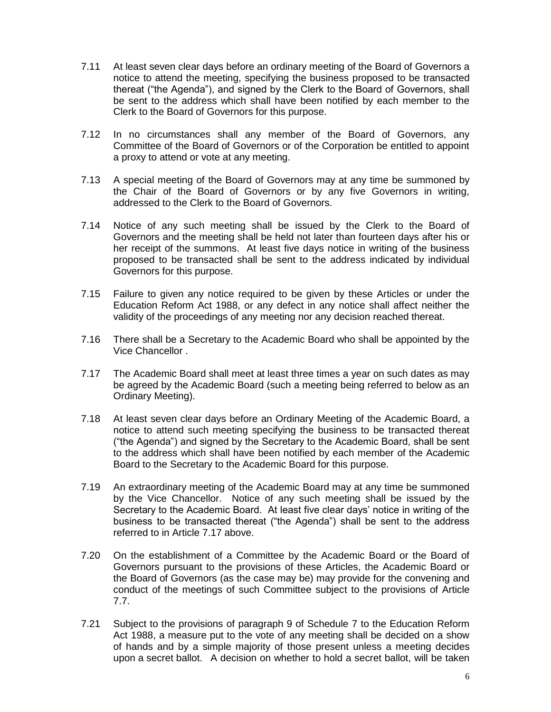- 7.11 At least seven clear days before an ordinary meeting of the Board of Governors a notice to attend the meeting, specifying the business proposed to be transacted thereat ("the Agenda"), and signed by the Clerk to the Board of Governors, shall be sent to the address which shall have been notified by each member to the Clerk to the Board of Governors for this purpose.
- 7.12 In no circumstances shall any member of the Board of Governors, any Committee of the Board of Governors or of the Corporation be entitled to appoint a proxy to attend or vote at any meeting.
- 7.13 A special meeting of the Board of Governors may at any time be summoned by the Chair of the Board of Governors or by any five Governors in writing, addressed to the Clerk to the Board of Governors.
- 7.14 Notice of any such meeting shall be issued by the Clerk to the Board of Governors and the meeting shall be held not later than fourteen days after his or her receipt of the summons. At least five days notice in writing of the business proposed to be transacted shall be sent to the address indicated by individual Governors for this purpose.
- 7.15 Failure to given any notice required to be given by these Articles or under the Education Reform Act 1988, or any defect in any notice shall affect neither the validity of the proceedings of any meeting nor any decision reached thereat.
- 7.16 There shall be a Secretary to the Academic Board who shall be appointed by the Vice Chancellor .
- 7.17 The Academic Board shall meet at least three times a year on such dates as may be agreed by the Academic Board (such a meeting being referred to below as an Ordinary Meeting).
- 7.18 At least seven clear days before an Ordinary Meeting of the Academic Board, a notice to attend such meeting specifying the business to be transacted thereat ("the Agenda") and signed by the Secretary to the Academic Board, shall be sent to the address which shall have been notified by each member of the Academic Board to the Secretary to the Academic Board for this purpose.
- 7.19 An extraordinary meeting of the Academic Board may at any time be summoned by the Vice Chancellor. Notice of any such meeting shall be issued by the Secretary to the Academic Board. At least five clear days' notice in writing of the business to be transacted thereat ("the Agenda") shall be sent to the address referred to in Article 7.17 above.
- 7.20 On the establishment of a Committee by the Academic Board or the Board of Governors pursuant to the provisions of these Articles, the Academic Board or the Board of Governors (as the case may be) may provide for the convening and conduct of the meetings of such Committee subject to the provisions of Article 7.7.
- 7.21 Subject to the provisions of paragraph 9 of Schedule 7 to the Education Reform Act 1988, a measure put to the vote of any meeting shall be decided on a show of hands and by a simple majority of those present unless a meeting decides upon a secret ballot. A decision on whether to hold a secret ballot, will be taken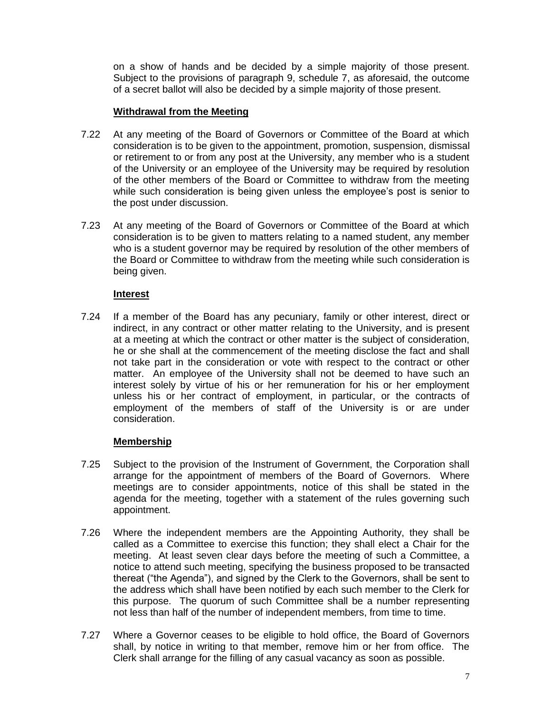on a show of hands and be decided by a simple majority of those present. Subject to the provisions of paragraph 9, schedule 7, as aforesaid, the outcome of a secret ballot will also be decided by a simple majority of those present.

#### **Withdrawal from the Meeting**

- 7.22 At any meeting of the Board of Governors or Committee of the Board at which consideration is to be given to the appointment, promotion, suspension, dismissal or retirement to or from any post at the University, any member who is a student of the University or an employee of the University may be required by resolution of the other members of the Board or Committee to withdraw from the meeting while such consideration is being given unless the employee's post is senior to the post under discussion.
- 7.23 At any meeting of the Board of Governors or Committee of the Board at which consideration is to be given to matters relating to a named student, any member who is a student governor may be required by resolution of the other members of the Board or Committee to withdraw from the meeting while such consideration is being given.

## **Interest**

7.24 If a member of the Board has any pecuniary, family or other interest, direct or indirect, in any contract or other matter relating to the University, and is present at a meeting at which the contract or other matter is the subject of consideration, he or she shall at the commencement of the meeting disclose the fact and shall not take part in the consideration or vote with respect to the contract or other matter. An employee of the University shall not be deemed to have such an interest solely by virtue of his or her remuneration for his or her employment unless his or her contract of employment, in particular, or the contracts of employment of the members of staff of the University is or are under consideration.

## **Membership**

- 7.25 Subject to the provision of the Instrument of Government, the Corporation shall arrange for the appointment of members of the Board of Governors. Where meetings are to consider appointments, notice of this shall be stated in the agenda for the meeting, together with a statement of the rules governing such appointment.
- 7.26 Where the independent members are the Appointing Authority, they shall be called as a Committee to exercise this function; they shall elect a Chair for the meeting. At least seven clear days before the meeting of such a Committee, a notice to attend such meeting, specifying the business proposed to be transacted thereat ("the Agenda"), and signed by the Clerk to the Governors, shall be sent to the address which shall have been notified by each such member to the Clerk for this purpose. The quorum of such Committee shall be a number representing not less than half of the number of independent members, from time to time.
- 7.27 Where a Governor ceases to be eligible to hold office, the Board of Governors shall, by notice in writing to that member, remove him or her from office. The Clerk shall arrange for the filling of any casual vacancy as soon as possible.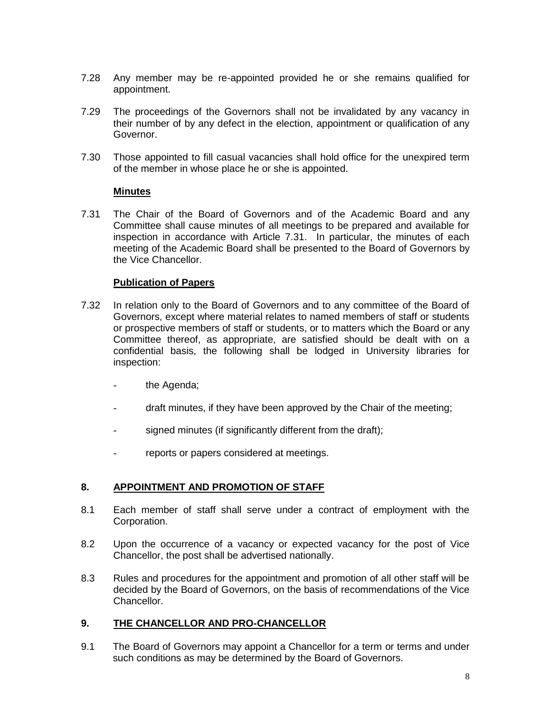- 7.28 Any member may be re-appointed provided he or she remains qualified for appointment.
- 7.29 The proceedings of the Governors shall not be invalidated by any vacancy in their number of by any defect in the election, appointment or qualification of any Governor.
- 7.30 Those appointed to fill casual vacancies shall hold office for the unexpired term of the member in whose place he or she is appointed.

#### **Minutes**

7.31 The Chair of the Board of Governors and of the Academic Board and any Committee shall cause minutes of all meetings to be prepared and available for inspection in accordance with Article 7.31. In particular, the minutes of each meeting of the Academic Board shall be presented to the Board of Governors by the Vice Chancellor.

#### **Publication of Papers**

- 7.32 In relation only to the Board of Governors and to any committee of the Board of Governors, except where material relates to named members of staff or students or prospective members of staff or students, or to matters which the Board or any Committee thereof, as appropriate, are satisfied should be dealt with on a confidential basis, the following shall be lodged in University libraries for inspection:
	- the Agenda;
	- draft minutes, if they have been approved by the Chair of the meeting;
	- signed minutes (if significantly different from the draft);
	- reports or papers considered at meetings.

## **8. APPOINTMENT AND PROMOTION OF STAFF**

- 8.1 Each member of staff shall serve under a contract of employment with the Corporation.
- 8.2 Upon the occurrence of a vacancy or expected vacancy for the post of Vice Chancellor, the post shall be advertised nationally.
- 8.3 Rules and procedures for the appointment and promotion of all other staff will be decided by the Board of Governors, on the basis of recommendations of the Vice Chancellor.

#### **9. THE CHANCELLOR AND PRO-CHANCELLOR**

9.1 The Board of Governors may appoint a Chancellor for a term or terms and under such conditions as may be determined by the Board of Governors.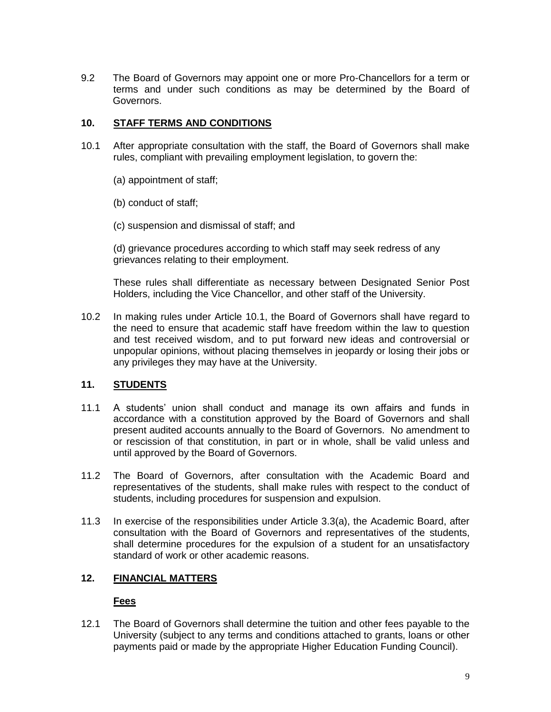9.2 The Board of Governors may appoint one or more Pro-Chancellors for a term or terms and under such conditions as may be determined by the Board of Governors.

## **10. STAFF TERMS AND CONDITIONS**

- 10.1 After appropriate consultation with the staff, the Board of Governors shall make rules, compliant with prevailing employment legislation, to govern the:
	- (a) appointment of staff;
	- (b) conduct of staff;
	- (c) suspension and dismissal of staff; and

(d) grievance procedures according to which staff may seek redress of any grievances relating to their employment.

These rules shall differentiate as necessary between Designated Senior Post Holders, including the Vice Chancellor, and other staff of the University.

10.2 In making rules under Article 10.1, the Board of Governors shall have regard to the need to ensure that academic staff have freedom within the law to question and test received wisdom, and to put forward new ideas and controversial or unpopular opinions, without placing themselves in jeopardy or losing their jobs or any privileges they may have at the University.

## **11. STUDENTS**

- 11.1 A students" union shall conduct and manage its own affairs and funds in accordance with a constitution approved by the Board of Governors and shall present audited accounts annually to the Board of Governors. No amendment to or rescission of that constitution, in part or in whole, shall be valid unless and until approved by the Board of Governors.
- 11.2 The Board of Governors, after consultation with the Academic Board and representatives of the students, shall make rules with respect to the conduct of students, including procedures for suspension and expulsion.
- 11.3 In exercise of the responsibilities under Article 3.3(a), the Academic Board, after consultation with the Board of Governors and representatives of the students, shall determine procedures for the expulsion of a student for an unsatisfactory standard of work or other academic reasons.

# **12. FINANCIAL MATTERS**

## **Fees**

12.1 The Board of Governors shall determine the tuition and other fees payable to the University (subject to any terms and conditions attached to grants, loans or other payments paid or made by the appropriate Higher Education Funding Council).